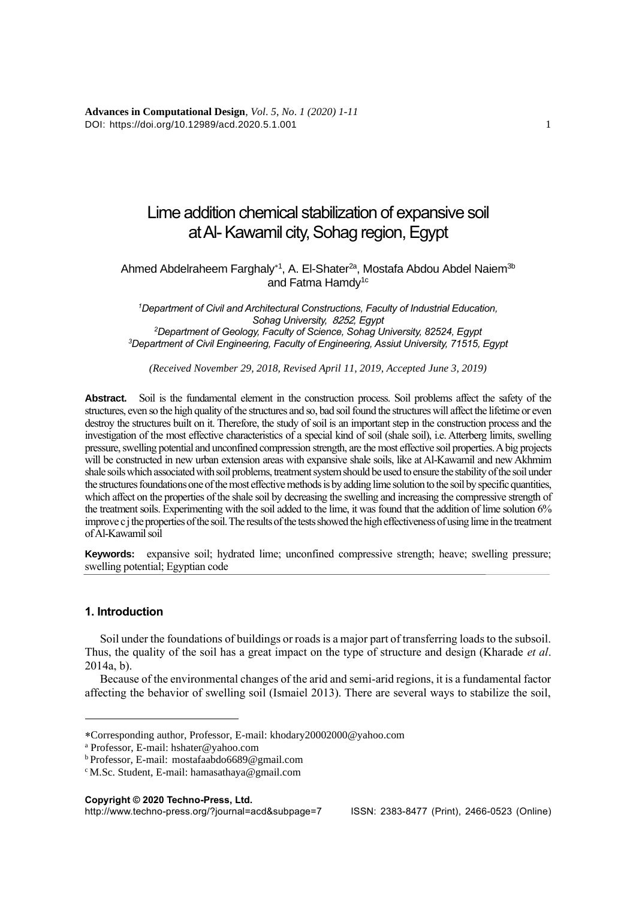**Advances in Computational Design**, *Vol*. *5*, *No*. *1 (2020) 1*-*11* DOI: https://doi.org/10.12989/acd.2020.5.1.001 1

# Lime addition chemical stabilization of expansive soil at Al-Kawamil city, Sohag region, Egypt

Ahmed Abdelraheem Farghaly<sup>\*1</sup>, A. El-Shater<sup>2a</sup>, Mostafa Abdou Abdel Naiem<sup>3b</sup> and Fatma Hamdy<sup>1c</sup>

*Department of Civil and Architectural Constructions, Faculty of Industrial Education, Sohag University, 8252, Egypt Department of Geology, Faculty of Science, Sohag University, 82524, Egypt Department of Civil Engineering, Faculty of Engineering, Assiut University, 71515, Egypt*

*(Received November 29, 2018, Revised April 11, 2019, Accepted June 3, 2019)*

**Abstract.** Soil is the fundamental element in the construction process. Soil problems affect the safety of the structures, even so the high quality of the structures and so, bad soil found the structures will affect the lifetime or even destroy the structures built on it. Therefore, the study of soil is an important step in the construction process and the investigation of the most effective characteristics of a special kind of soil (shale soil), i.e. Atterberg limits, swelling pressure, swelling potential and unconfined compression strength, are the most effective soil properties. A big projects will be constructed in new urban extension areas with expansive shale soils, like at Al-Kawamil and new Akhmim shale soils which associated with soil problems, treatment system should be used to ensure the stability of the soil under the structures foundations one of the most effective methods is by adding lime solution to the soil by specific quantities, which affect on the properties of the shale soil by decreasing the swelling and increasing the compressive strength of the treatment soils. Experimenting with the soil added to the lime, it was found that the addition of lime solution 6% improve c j the properties of the soil. The results of the tests showed the high effectiveness of using lime in the treatment of Al-Kawamil soil

**Keywords:** expansive soil; hydrated lime; unconfined compressive strength; heave; swelling pressure; swelling potential; Egyptian code

#### **1. Introduction**

Soil under the foundations of buildings or roads is a major part of transferring loads to the subsoil. Thus, the quality of the soil has a great impact on the type of structure and design (Kharade *et al*.  $2014a$  b).

Because of the environmental changes of the arid and semi-arid regions, it is a fundamental factor affecting the behavior of swelling soil (Ismaiel 2013). There are several ways to stabilize the soil,

**Copyright © 2020 Techno-Press, Ltd.**

http://www.techno-press.org/?journal=acd&subpage=7 ISSN: 2383-8477 (Print), 2466-0523 (Online)

Corresponding author, Professor, E-mail[: khodary20002000@yahoo.com](mailto:khodary20002000@yahoo.com)

<sup>a</sup> Professor, E-mail: [hshater@yahoo.com](mailto:hshater@yahoo.com)

<sup>b</sup>Professor, E-mail: [mostafaabdo6689@gmail.com](mailto:mostafaabdo6689@gmail.com)

c M.Sc. Student, E-mail: [hamasathaya@gmail.com](mailto:hamasathaya@gmail.com)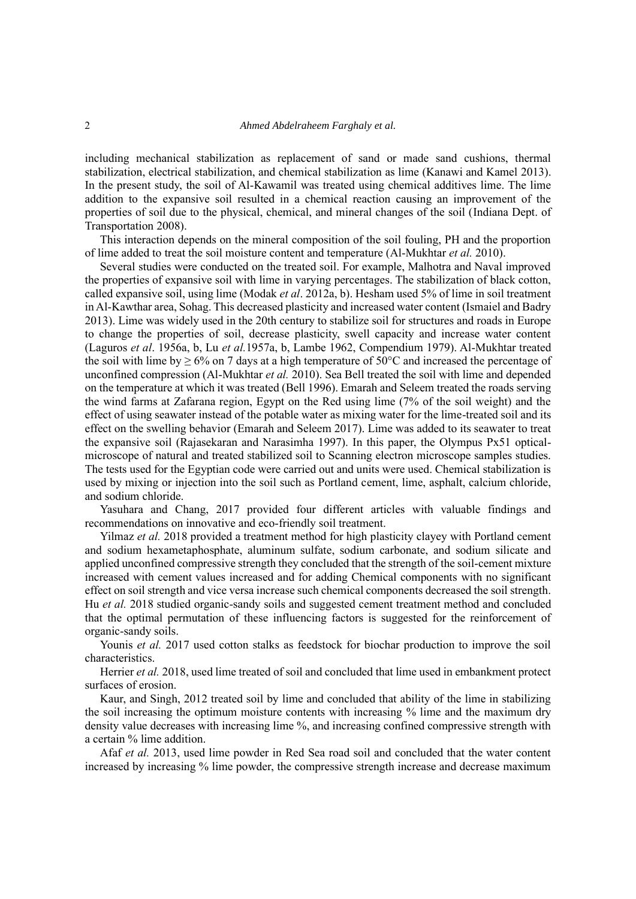including mechanical stabilization as replacement of sand or made sand cushions, thermal stabilization, electrical stabilization, and chemical stabilization as lime (Kanawi and Kamel 2013). In the present study, the soil of Al-Kawamil was treated using chemical additives lime. The lime addition to the expansive soil resulted in a chemical reaction causing an improvement of the properties of soil due to the physical, chemical, and mineral changes of the soil (Indiana Dept. of Transportation 2008).

This interaction depends on the mineral composition of the soil fouling, PH and the proportion of lime added to treat the soil moisture content and temperature (Al-Mukhtar *et al.* 2010).

Several studies were conducted on the treated soil. For example, Malhotra and Naval improved the properties of expansive soil with lime in varying percentages. The stabilization of black cotton, called expansive soil, using lime (Modak *et al*. 2012a, b). Hesham used5% of lime in soil treatment in Al-Kawthar area, Sohag. This decreased plasticity and increased water content (Ismaiel and Badry 2013). Lime was widely used in the 20th century to stabilize soil for structures and roads in Europe to change the properties of soil, decrease plasticity, swell capacity and increase water content (Laguros *et al*. 1956a, b, Lu *et al.*1957a, b, Lambe 1962, Compendium 1979). Al-Mukhtar treated the soil with lime by  $\geq 6\%$  on 7 days at a high temperature of 50°C and increased the percentage of unconfined compression (Al-Mukhtar *et al.* 2010). Sea Bell treated the soil with lime and depended on the temperature at which it was treated (Bell 1996). Emarah and Seleem treated the roads serving the wind farms at Zafarana region, Egypt on the Red using lime (7% of the soil weight) and the effect of using seawater instead of the potable water as mixing water for the lime-treated soil and its effect on the swelling behavior (Emarah and Seleem 2017). Lime was added to its seawater to treat the expansive soil [\(Rajasekaran and Narasimha](https://www.sciencedirect.com/science/article/pii/S0029801896000108#!) 1997). In this paper, the Olympus Px51 opticalmicroscope of natural and treated stabilized soil to Scanning electron microscope samples studies. The tests used for the Egyptian code were carried out and units were used. Chemical stabilization is used by mixing or injection into the soil such as Portland cement, lime, asphalt, calcium chloride, and sodium chloride.

Yasuhara and Chang, 2017 provided four different articles with valuable findings and recommendations on innovative and eco-friendly soil treatment.

Yilmaz *et al.* 2018 provided a treatment method for high plasticity clayey with Portland cement and sodium hexametaphosphate, aluminum sulfate, sodium carbonate, and sodium silicate and applied unconfined compressive strength they concluded that the strength of the soil-cement mixture increased with cement values increased and for adding Chemical components with no significant effect on soil strength and vice versa increase such chemical components decreased the soil strength. Hu *et al.* 2018 studied organic-sandy soils and suggested cement treatment method and concluded that the optimal permutation of these influencing factors is suggested for the reinforcement of organic-sandy soils.

Younis *et al.* 2017 used cotton stalks as feedstock for biochar production to improve the soil characteristics.

Herrier *et al.* 2018, used lime treated of soil and concluded that lime used in embankment protect surfaces of erosion.

Kaur, and Singh, 2012 treated soil by lime and concluded that ability of the lime in stabilizing the soil increasing the optimum moisture contents with increasing % lime and the maximum dry density value decreases with increasing lime %, and increasing confined compressive strength with a certain % lime addition.

Afaf *et al.* 2013, used lime powder in Red Sea road soil and concluded that the water content increased by increasing % lime powder, the compressive strength increase and decrease maximum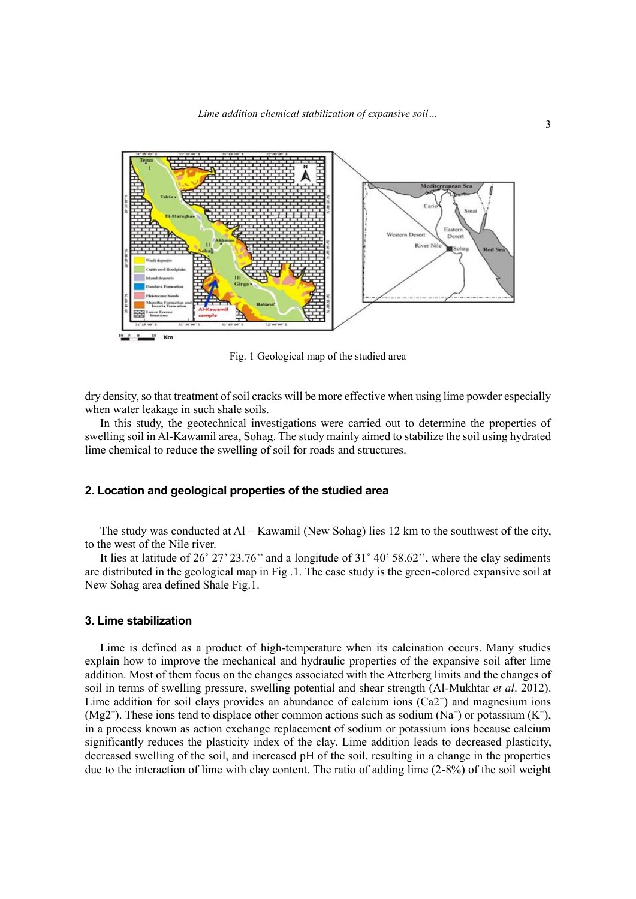

Fig. 1 Geological map of the studied area

dry density, so that treatment of soil cracks will be more effective when using lime powder especially when water leakage in such shale soils.

In this study, the geotechnical investigations were carried out to determine the properties of swelling soil in Al-Kawamil area, Sohag. The study mainly aimed to stabilize the soil using hydrated lime chemical to reduce the swelling of soil for roads and structures.

#### **2. Location and geological properties of the studied area**

The study was conducted at Al – Kawamil (New Sohag) lies 12 km to the southwest of the city, to the west of the Nile river.

It lies at latitude of 26˚ 27' 23.76'' and a longitude of 31˚ 40' 58.62'', where the clay sediments are distributed in the geological map in Fig .1. The case study is the green-colored expansive soil at New Sohag area defined Shale Fig.1.

#### **3. Lime stabilization**

Lime is defined as a product of high-temperature when its calcination occurs. Many studies explain how to improve the mechanical and hydraulic properties of the expansive soil after lime addition. Most of them focus on the changes associated with the Atterberg limits and the changes of soil in terms of swelling pressure, swelling potential and shear strength (Al-Mukhtar *et al*. 2012). Lime addition for soil clays provides an abundance of calcium ions  $(Ca2<sup>+</sup>)$  and magnesium ions  $(Mg2<sup>+</sup>)$ . These ions tend to displace other common actions such as sodium (Na<sup>+</sup>) or potassium (K<sup>+</sup>), in a process known as action exchange replacement of sodium or potassium ions because calcium significantly reduces the plasticity index of the clay. Lime addition leads to decreased plasticity, decreased swelling of the soil, and increased pH of the soil, resulting in a change in the properties due to the interaction of lime with clay content. The ratio of adding lime (2-8%) of the soil weight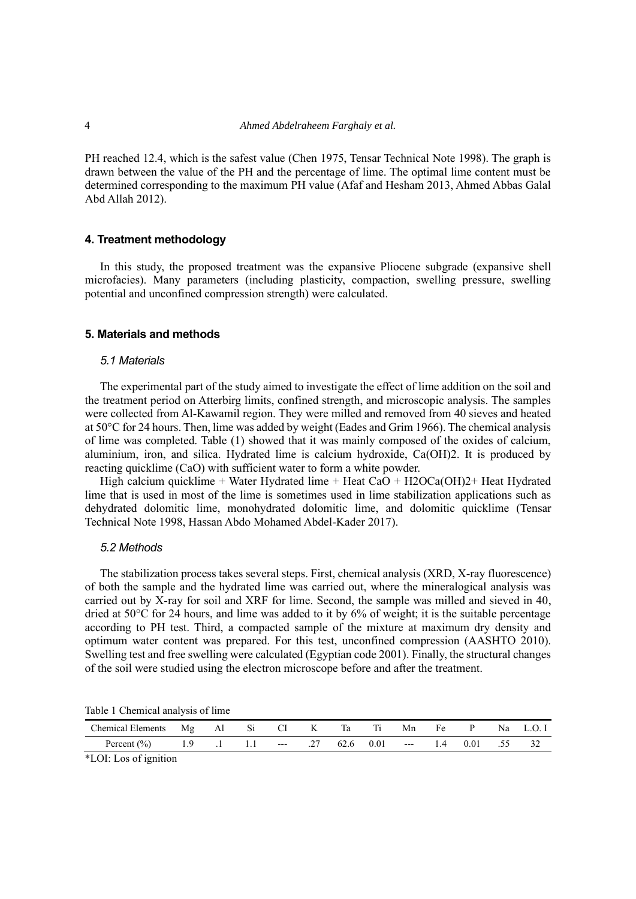PH reached 12.4, which is the safest value (Chen 1975, Tensar Technical Note 1998). The graph is drawn between the value of the PH and the percentage of lime. The optimal lime content must be determined corresponding to the maximum PH value (Afaf and Hesham 2013, Ahmed Abbas Galal Abd Allah 2012).

## **4. Treatment methodology**

In this study, the proposed treatment was the expansive Pliocene subgrade (expansive shell microfacies). Many parameters (including plasticity, compaction, swelling pressure, swelling potential and unconfined compression strength) were calculated.

#### **5. Materials and methods**

#### *5.1 Materials*

The experimental part of the study aimed to investigate the effect of lime addition on the soil and the treatment period on Atterbirg limits, confined strength, and microscopic analysis. The samples were collected from Al-Kawamil region. They were milled and removed from 40 sieves and heated at 50°C for 24 hours. Then, lime was added by weight (Eades and Grim 1966). The chemical analysis of lime was completed. Table (1) showed that it was mainly composed of the oxides of calcium, aluminium, iron, and silica. Hydrated lime is calcium hydroxide, Ca(OH)2. It is produced by reacting quicklime (CaO) with sufficient water to form a white powder.

High calcium quicklime + Water Hydrated lime + Heat CaO + H2OCa(OH)2+ Heat Hydrated lime that is used in most of the lime is sometimes used in lime stabilization applications such as dehydrated dolomitic lime, monohydrated dolomitic lime, and dolomitic quicklime (Tensar Technical Note 1998, Hassan Abdo Mohamed Abdel-Kader 2017).

#### *5.2 Methods*

The stabilization process takes several steps. First, chemical analysis (XRD, X-ray fluorescence) of both the sample and the hydrated lime was carried out, where the mineralogical analysis was carried out by X-ray for soil and XRF for lime. Second, the sample was milled and sieved in 40, dried at  $50^{\circ}$ C for 24 hours, and lime was added to it by 6% of weight; it is the suitable percentage according to PH test. Third, a compacted sample of the mixture at maximum dry density and optimum water content was prepared. For this test, unconfined compression (AASHTO 2010). Swelling test and free swelling were calculated (Egyptian code 2001). Finally, the structural changes of the soil were studied using the electron microscope before and after the treatment.

|  | Table 1 Chemical analysis of lime |  |  |
|--|-----------------------------------|--|--|
|  |                                   |  |  |

| Chemical Elements Mg Al |  | $S_1$ $\sim$ | – CI | K   | Ta | Тı | Mn                | Fe |          | Na l | L.O. I |
|-------------------------|--|--------------|------|-----|----|----|-------------------|----|----------|------|--------|
| Percent $(\% )$         |  | $1.1$ $-$    |      | .27 |    |    | $62.6$ $0.01$ --- |    | 1.4 0.01 | .55  |        |

\*LOI: Los of ignition

4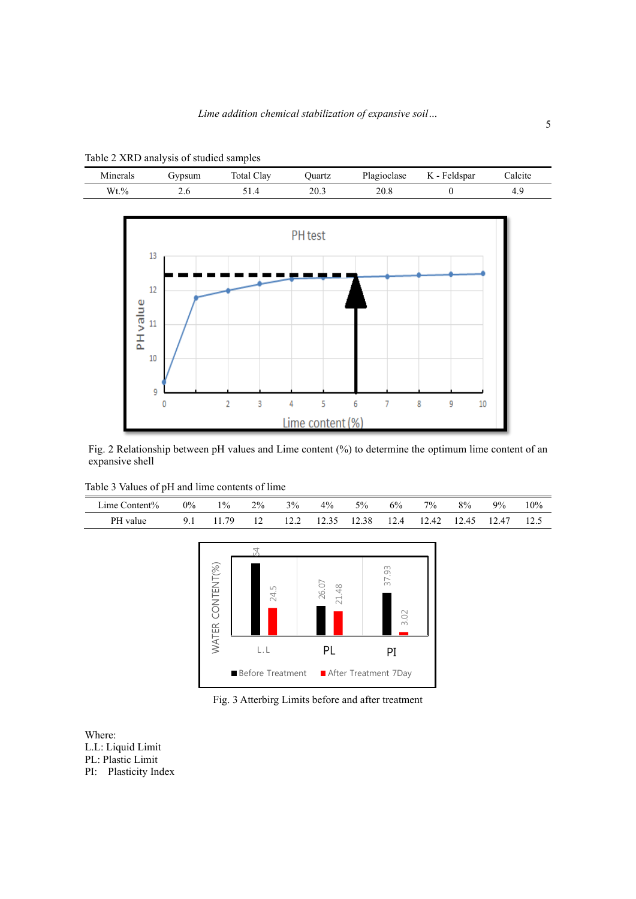

Table 2 XRD analysis of studied samples

Fig. 2 Relationship between pH values and Lime content (%) to determine the optimum lime content of an expansive shell

| Table 3 Values of pH and lime contents of lime |
|------------------------------------------------|
|------------------------------------------------|

| Lime Content% | 0% | 10/0 | $2\%$ | $3\%$ | 4%    | 5%    | 6%   | $7\%$ | 8%    | $9\%$ | 10%  |
|---------------|----|------|-------|-------|-------|-------|------|-------|-------|-------|------|
| PH value      | 0  | -79  | . .   |       | 12.35 | 12.38 | 12.4 | 12.42 | 12.45 | 12.47 | 12.5 |



Fig. 3 Atterbirg Limits before and after treatment

Where: L.L: Liquid Limit PL: Plastic Limit PI: Plasticity Index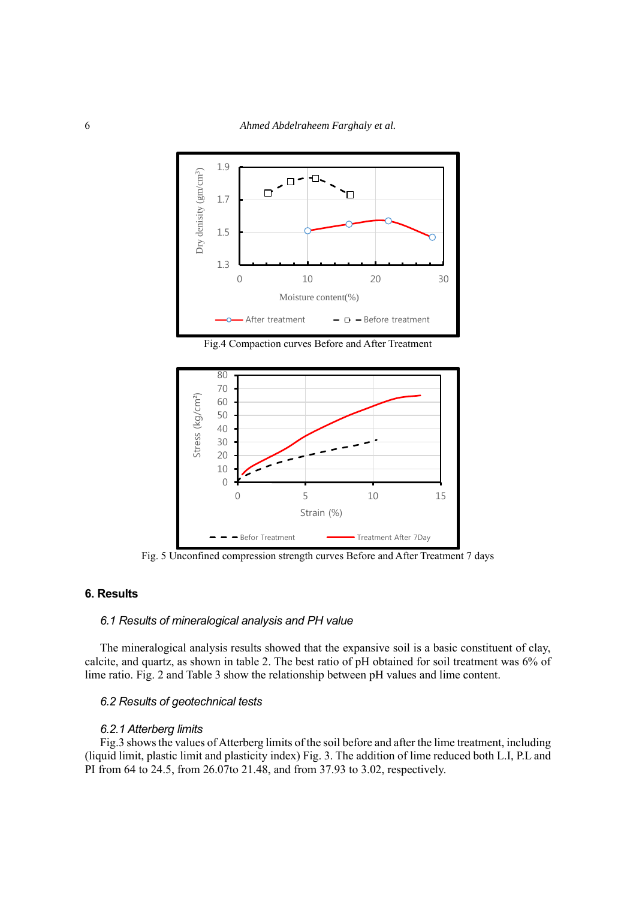

Fig.4 Compaction curves Before and After Treatment



Fig. 5 Unconfined compression strength curves Before and After Treatment 7 days

## **6. Results**

## *6.1 Results of mineralogical analysis and PH value*

The mineralogical analysis results showed that the expansive soil is a basic constituent of clay, calcite, and quartz, as shown in table 2. The best ratio of pH obtained for soil treatment was 6% of lime ratio. Fig. 2 and Table 3 show the relationship between pH values and lime content.

## *6.2 Results of geotechnical tests*

#### *6.2.1 Atterberg limits*

Fig.3 shows the values of Atterberg limits of the soil before and after the lime treatment, including (liquid limit, plastic limit and plasticity index) Fig. 3. The addition of lime reduced both L.I, P.L and PI from 64 to 24.5, from 26.07to 21.48, and from 37.93 to 3.02, respectively.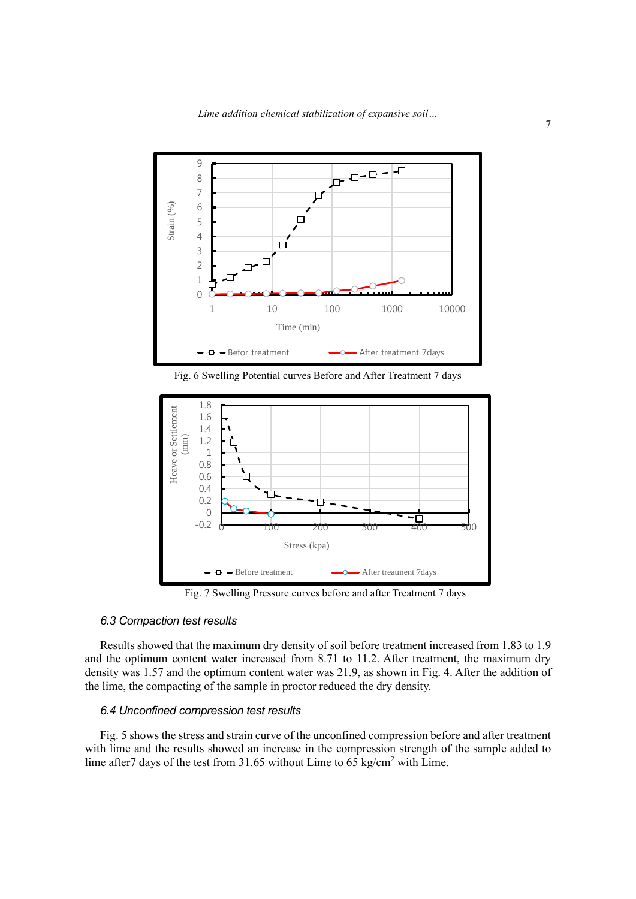

Fig. 6 Swelling Potential curves Before and After Treatment 7 days



Fig. 7 Swelling Pressure curves before and after Treatment 7 days

## *6.3 Compaction test results*

Results showed that the maximum dry density of soil before treatment increased from 1.83 to 1.9 and the optimum content water increased from 8.71 to 11.2. After treatment, the maximum dry density was 1.57 and the optimum content water was 21.9, as shown in Fig. 4. After the addition of the lime, the compacting of the sample in proctor reduced the dry density.

## *6.4 Unconfined compression test results*

Fig. 5 shows the stress and strain curve of the unconfined compression before and after treatment with lime and the results showed an increase in the compression strength of the sample added to lime after7 days of the test from 31.65 without Lime to 65 kg/cm<sup>2</sup> with Lime.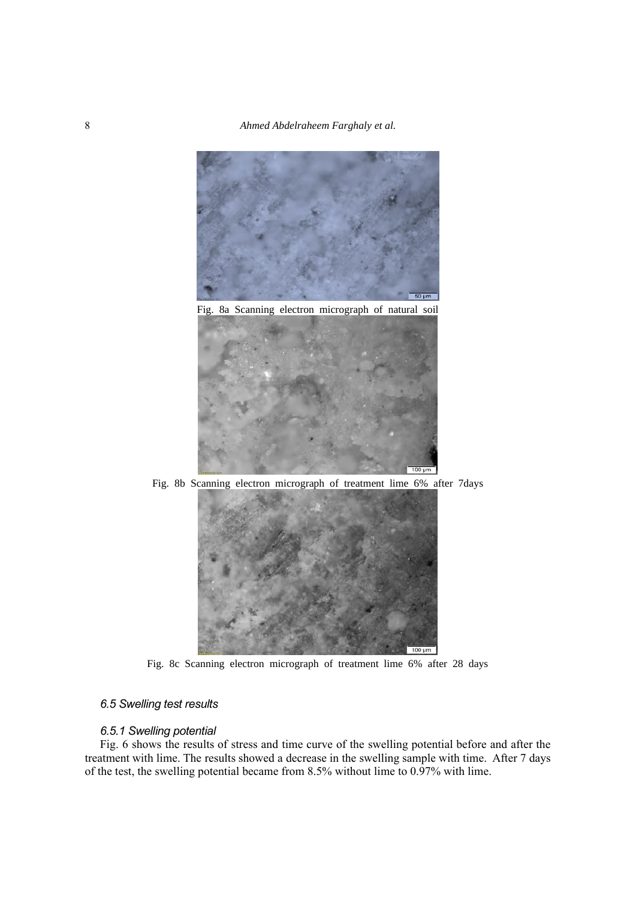





Fig. 8b Scanning electron micrograph of treatment lime 6% after 7days



Fig. 8c Scanning electron micrograph of treatment lime 6% after 28 days

## *6.5 Swelling test results*

## *6.5.1 Swelling potential*

Fig. 6 shows the results of stress and time curve of the swelling potential before and after the treatment with lime. The results showed a decrease in the swelling sample with time. After 7 days of the test, the swelling potential became from 8.5% without lime to 0.97% with lime.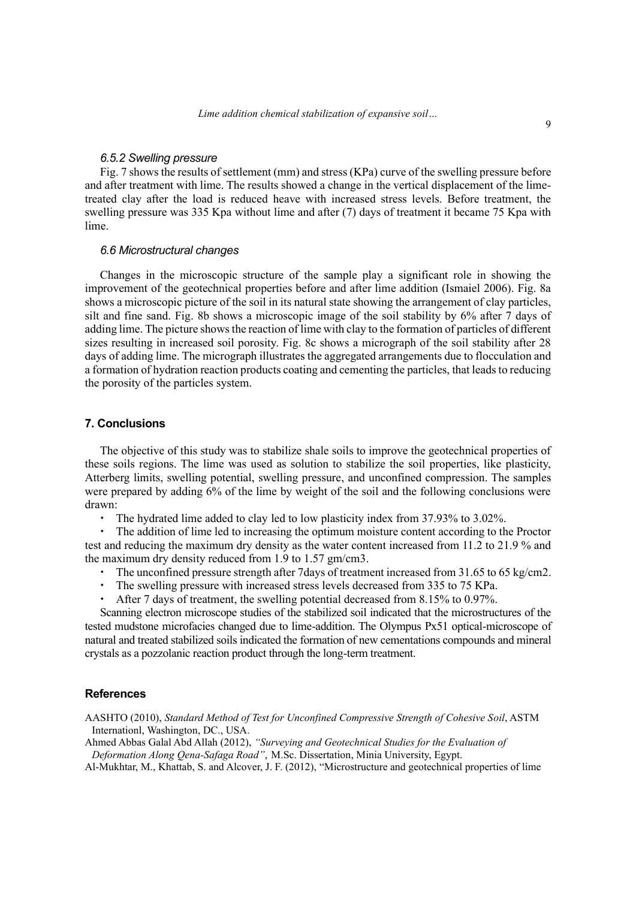#### *6.5.2 Swelling pressure*

Fig. 7 shows the results of settlement (mm) and stress (KPa) curve of the swelling pressure before and after treatment with lime. The results showed a change in the vertical displacement of the limetreated clay after the load is reduced heave with increased stress levels. Before treatment, the swelling pressure was 335 Kpa without lime and after (7) days of treatment it became 75 Kpa with lime.

#### *6.6 Microstructural changes*

Changes in the microscopic structure of the sample play a significant role in showing the improvement of the geotechnical properties before and after lime addition (Ismaiel 2006). Fig. 8a shows a microscopic picture of the soil in its natural state showing the arrangement of clay particles, silt and fine sand. Fig. 8b shows a microscopic image of the soil stability by 6% after 7 days of adding lime. The picture shows the reaction of lime with clay to the formation of particles of different sizes resulting in increased soil porosity. Fig. 8c shows a micrograph of the soil stability after 28 days of adding lime. The micrograph illustrates the aggregated arrangements due to flocculation and a formation of hydration reaction products coating and cementing the particles, that leads to reducing the porosity of the particles system.

#### **7. Conclusions**

The objective of this study was to stabilize shale soils to improve the geotechnical properties of these soils regions. The lime was used as solution to stabilize the soil properties, like plasticity, Atterberg limits, swelling potential, swelling pressure, and unconfined compression. The samples were prepared by adding 6% of the lime by weight of the soil and the following conclusions were drawn:

The hydrated lime added to clay led to low plasticity index from 37.93% to 3.02%.

 The addition of lime led to increasing the optimum moisture content according to the Proctor test and reducing the maximum dry density as the water content increased from 11.2 to 21.9 % and the maximum dry density reduced from 1.9 to 1.57 gm/cm3.

- The unconfined pressure strength after 7 days of treatment increased from 31.65 to 65 kg/cm2.
- The swelling pressure with increased stress levels decreased from 335 to 75 KPa.
- After 7 days of treatment, the swelling potential decreased from 8.15% to 0.97%.

Scanning electron microscope studies of the stabilized soil indicated that the microstructures of the tested mudstone microfacies changed due to lime-addition. The Olympus Px51 optical-microscope of natural and treated stabilized soils indicated the formation of new cementations compounds and mineral crystals as a pozzolanic reaction product through the long-term treatment.

#### **References**

AASHTO (2010), *Standard Method of Test for Unconfined Compressive Strength of Cohesive Soil*, ASTM Internationl, Washington, DC., USA.

Ahmed Abbas Galal Abd Allah (2012), *"Surveying and Geotechnical Studies for the Evaluation of Deformation Along Qena-Safaga Road"*, M.Sc. Dissertation, Minia University, Egypt.

Al-Mukhtar, M., Khattab, S. and Alcover, J. F. (2012), "Microstructure and geotechnical properties of lime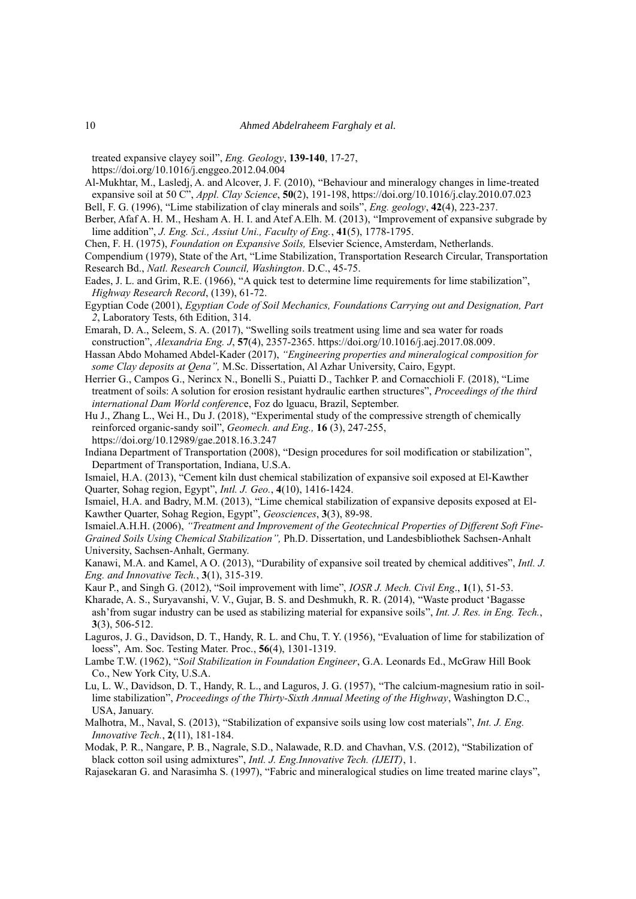treated expansive clayey soil", *Eng. Geology*, **139-140**, 17-27,

https://doi.org/10.1016/j.enggeo.2012.04.004

Al-Mukhtar, M., Lasledj, A. and Alcover, J. F. (2010), "Behaviour and mineralogy changes in lime-treated expansive soil at 50 C", *Appl. Clay Science*, **50**(2), 191-198, https://doi.org/10.1016/j.clay.2010.07.023

Bell, F. G. (1996), "Lime stabilization of clay minerals and soils", *Eng. geology*, **42**(4), 223-237.

Berber, Afaf A. H. M., Hesham A. H. I. and Atef A.Elh. M. (2013), "Improvement of expansive subgrade by lime addition", *J. Eng. Sci., Assiut Uni., Faculty of Eng.*, **41**(5), 1778-1795.

Chen, F. H. (1975), *Foundation on Expansive Soils,* Elsevier Science, Amsterdam, Netherlands.

Compendium (1979), State of the Art, "Lime Stabilization, Transportation Research Circular, Transportation Research Bd., *Natl. Research Council, Washington*. D.C., 45-75.

- Eades, J. L. and Grim, R.E. (1966), "A quick test to determine lime requirements for lime stabilization", *Highway Research Record*, (139), 61-72.
- Egyptian Code (2001), *Egyptian Code of Soil Mechanics, Foundations Carrying out and Designation, Part 2*, Laboratory Tests, 6th Edition, 314.
- Emarah, D. A., Seleem, S. A. (2017), "Swelling soils treatment using lime and sea water for roads construction", *Alexandria Eng. J*, **57**(4), 2357-2365. https://doi.org/10.1016/j.aej.2017.08.009.
- Hassan Abdo Mohamed Abdel-Kader (2017), *"Engineering properties and mineralogical composition for some Clay deposits at Qena",* M.Sc. Dissertation, Al Azhar University, Cairo, Egypt.
- Herrier G., Campos G., Nerincx N., Bonelli S., Puiatti D., Tachker P. and Cornacchioli F. (2018), "Lime treatment of soils: A solution for erosion resistant hydraulic earthen structures", *Proceedings of the third international Dam World conferenc*e, Foz do lguacu, Brazil, September.
- Hu J., Zhang L., Wei H., Du J. (2018), "Experimental study of the compressive strength of chemically reinforced organic-sandy soil", *Geomech. and Eng.,* **16** (3), 247-255, https://doi.org/10.12989/gae.2018.16.3.247

Indiana Department of Transportation (2008), "Design procedures for soil modification or stabilization", Department of Transportation, Indiana, U.S.A.

Ismaiel, H.A. (2013), "Cement kiln dust chemical stabilization of expansive soil exposed at El-Kawther Quarter, Sohag region, Egypt", *Intl. J. Geo.*, **4**(10), 1416-1424.

Ismaiel, H.A. and Badry, M.M. (2013), "Lime chemical stabilization of expansive deposits exposed at El-Kawther Quarter, Sohag Region, Egypt", *Geosciences*, **3**(3), 89-98.

Ismaiel.A.H.H. (2006), *"Treatment and Improvement of the Geotechnical Properties of Different Soft Fine-Grained Soils Using Chemical Stabilization",* Ph.D. Dissertation, und Landesbibliothek Sachsen-Anhalt University, Sachsen-Anhalt, Germany.

Kanawi, M.A. and Kamel, A O. (2013), "Durability of expansive soil treated by chemical additives", *Intl. J. Eng. and Innovative Tech.*, **3**(1), 315-319.

- Kaur P., and Singh G. (2012), "Soil improvement with lime", *IOSR J. Mech. Civil Eng*., **1**(1), 51-53.
- Kharade, A. S., Suryavanshi, V. V., Gujar, B. S. and Deshmukh, R. R. (2014), "Waste product 'Bagasse ash'from sugar industry can be used as stabilizing material for expansive soils", *Int. J. Res. in Eng. Tech.*, **3**(3), 506-512.

Laguros, J. G., Davidson, D. T., Handy, R. L. and Chu, T. Y. (1956), "Evaluation of lime for stabilization of loess", Am. Soc. Testing Mater. Proc., **56**(4), 1301-1319.

- Lambe T.W. (1962), "*Soil Stabilization in Foundation Engineer*, G.A. Leonards Ed., McGraw Hill Book Co., New York City, U.S.A.
- Lu, L. W., Davidson, D. T., Handy, R. L., and Laguros, J. G. (1957), "The calcium-magnesium ratio in soillime stabilization", *Proceedings of the Thirty-Sixth Annual Meeting of the Highway*, Washington D.C., USA, January.
- Malhotra, M., Naval, S. (2013), "Stabilization of expansive soils using low cost materials", *Int. J. Eng. Innovative Tech.*, **2**(11), 181-184.

Modak, P. R., Nangare, P. B., Nagrale, S.D., Nalawade, R.D. and Chavhan, V.S. (2012), "Stabilization of black cotton soil using admixtures", *Intl. J. Eng.Innovative Tech. (IJEIT)*, 1.

Rajasekaran G. and Narasimha S. (1997), "Fabric and mineralogical studies on lime treated marine clays",